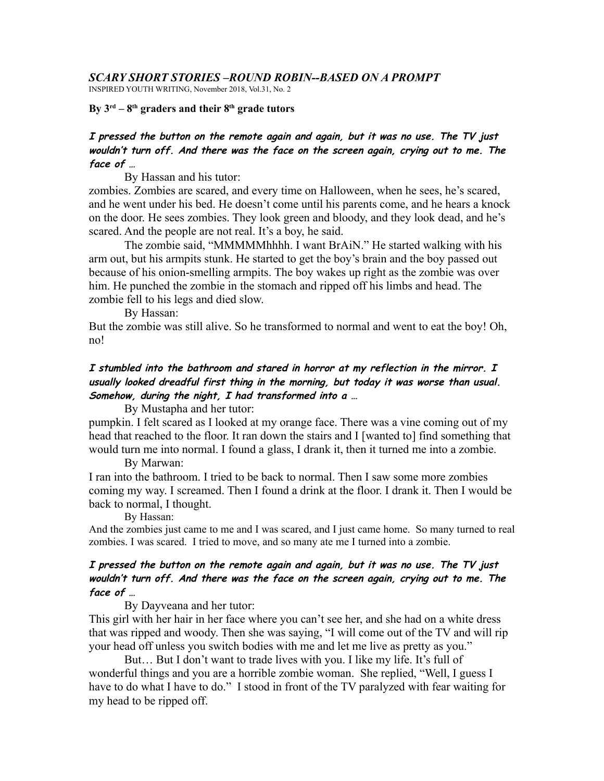#### *SCARY SHORT STORIES –ROUND ROBIN--BASED ON A PROMPT*

INSPIRED YOUTH WRITING, November 2018, Vol.31, No. 2

By  $3^{rd} - 8^{th}$  graders and their  $8^{th}$  grade tutors

# **I pressed the button on the remote again and again, but it was no use. The TV just wouldn't turn off. And there was the face on the screen again, crying out to me. The face of …**

By Hassan and his tutor:

zombies. Zombies are scared, and every time on Halloween, when he sees, he's scared, and he went under his bed. He doesn't come until his parents come, and he hears a knock on the door. He sees zombies. They look green and bloody, and they look dead, and he's scared. And the people are not real. It's a boy, he said.

The zombie said, "MMMMMhhhh. I want BrAiN." He started walking with his arm out, but his armpits stunk. He started to get the boy's brain and the boy passed out because of his onion-smelling armpits. The boy wakes up right as the zombie was over him. He punched the zombie in the stomach and ripped off his limbs and head. The zombie fell to his legs and died slow.

By Hassan:

But the zombie was still alive. So he transformed to normal and went to eat the boy! Oh, no!

# **I stumbled into the bathroom and stared in horror at my reflection in the mirror. I usually looked dreadful first thing in the morning, but today it was worse than usual. Somehow, during the night, I had transformed into a …**

By Mustapha and her tutor:

pumpkin. I felt scared as I looked at my orange face. There was a vine coming out of my head that reached to the floor. It ran down the stairs and I [wanted to] find something that would turn me into normal. I found a glass, I drank it, then it turned me into a zombie.

#### By Marwan:

I ran into the bathroom. I tried to be back to normal. Then I saw some more zombies coming my way. I screamed. Then I found a drink at the floor. I drank it. Then I would be back to normal, I thought.

#### By Hassan:

And the zombies just came to me and I was scared, and I just came home. So many turned to real zombies. I was scared. I tried to move, and so many ate me I turned into a zombie.

#### **I pressed the button on the remote again and again, but it was no use. The TV just wouldn't turn off. And there was the face on the screen again, crying out to me. The face of …**

By Dayveana and her tutor:

This girl with her hair in her face where you can't see her, and she had on a white dress that was ripped and woody. Then she was saying, "I will come out of the TV and will rip your head off unless you switch bodies with me and let me live as pretty as you."

But… But I don't want to trade lives with you. I like my life. It's full of wonderful things and you are a horrible zombie woman. She replied, "Well, I guess I have to do what I have to do." I stood in front of the TV paralyzed with fear waiting for my head to be ripped off.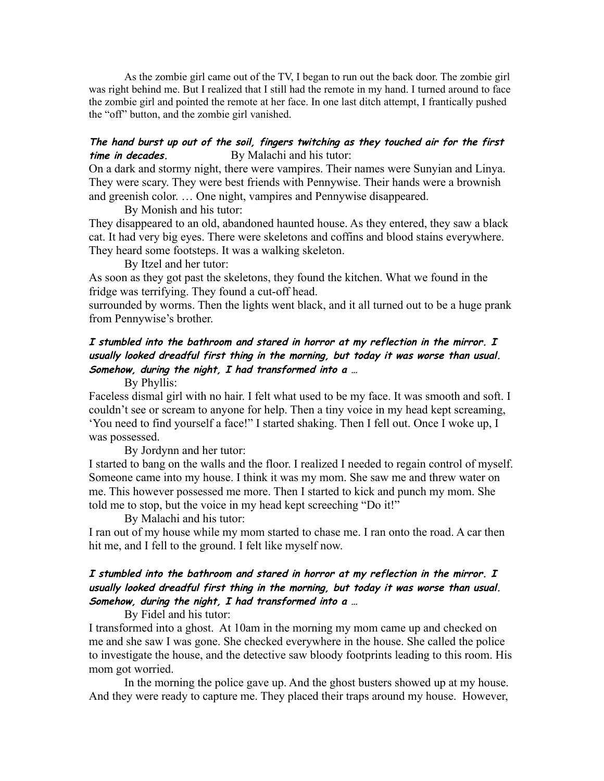As the zombie girl came out of the TV, I began to run out the back door. The zombie girl was right behind me. But I realized that I still had the remote in my hand. I turned around to face the zombie girl and pointed the remote at her face. In one last ditch attempt, I frantically pushed the "off" button, and the zombie girl vanished.

#### **The hand burst up out of the soil, fingers twitching as they touched air for the first time in decades.** By Malachi and his tutor:

On a dark and stormy night, there were vampires. Their names were Sunyian and Linya. They were scary. They were best friends with Pennywise. Their hands were a brownish and greenish color. … One night, vampires and Pennywise disappeared.

By Monish and his tutor:

They disappeared to an old, abandoned haunted house. As they entered, they saw a black cat. It had very big eyes. There were skeletons and coffins and blood stains everywhere. They heard some footsteps. It was a walking skeleton.

By Itzel and her tutor:

As soon as they got past the skeletons, they found the kitchen. What we found in the fridge was terrifying. They found a cut-off head.

surrounded by worms. Then the lights went black, and it all turned out to be a huge prank from Pennywise's brother.

# **I stumbled into the bathroom and stared in horror at my reflection in the mirror. I usually looked dreadful first thing in the morning, but today it was worse than usual. Somehow, during the night, I had transformed into a …**

By Phyllis:

Faceless dismal girl with no hair. I felt what used to be my face. It was smooth and soft. I couldn't see or scream to anyone for help. Then a tiny voice in my head kept screaming, 'You need to find yourself a face!" I started shaking. Then I fell out. Once I woke up, I was possessed.

By Jordynn and her tutor:

I started to bang on the walls and the floor. I realized I needed to regain control of myself. Someone came into my house. I think it was my mom. She saw me and threw water on me. This however possessed me more. Then I started to kick and punch my mom. She told me to stop, but the voice in my head kept screeching "Do it!"

By Malachi and his tutor:

I ran out of my house while my mom started to chase me. I ran onto the road. A car then hit me, and I fell to the ground. I felt like myself now.

# **I stumbled into the bathroom and stared in horror at my reflection in the mirror. I usually looked dreadful first thing in the morning, but today it was worse than usual. Somehow, during the night, I had transformed into a …**

By Fidel and his tutor:

I transformed into a ghost. At 10am in the morning my mom came up and checked on me and she saw I was gone. She checked everywhere in the house. She called the police to investigate the house, and the detective saw bloody footprints leading to this room. His mom got worried.

In the morning the police gave up. And the ghost busters showed up at my house. And they were ready to capture me. They placed their traps around my house. However,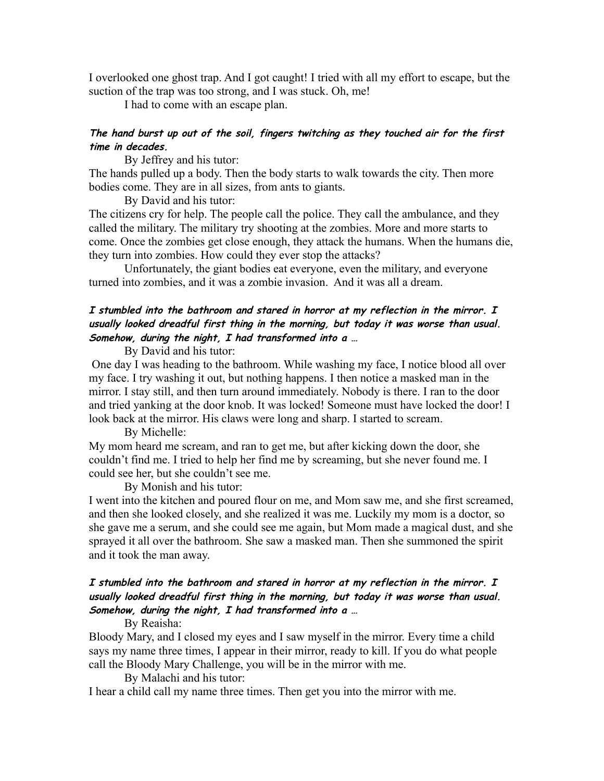I overlooked one ghost trap. And I got caught! I tried with all my effort to escape, but the suction of the trap was too strong, and I was stuck. Oh, me!

I had to come with an escape plan.

### **The hand burst up out of the soil, fingers twitching as they touched air for the first time in decades.**

By Jeffrey and his tutor:

The hands pulled up a body. Then the body starts to walk towards the city. Then more bodies come. They are in all sizes, from ants to giants.

By David and his tutor:

The citizens cry for help. The people call the police. They call the ambulance, and they called the military. The military try shooting at the zombies. More and more starts to come. Once the zombies get close enough, they attack the humans. When the humans die, they turn into zombies. How could they ever stop the attacks?

Unfortunately, the giant bodies eat everyone, even the military, and everyone turned into zombies, and it was a zombie invasion. And it was all a dream.

# **I stumbled into the bathroom and stared in horror at my reflection in the mirror. I usually looked dreadful first thing in the morning, but today it was worse than usual. Somehow, during the night, I had transformed into a …**

By David and his tutor:

 One day I was heading to the bathroom. While washing my face, I notice blood all over my face. I try washing it out, but nothing happens. I then notice a masked man in the mirror. I stay still, and then turn around immediately. Nobody is there. I ran to the door and tried yanking at the door knob. It was locked! Someone must have locked the door! I look back at the mirror. His claws were long and sharp. I started to scream.

#### By Michelle:

My mom heard me scream, and ran to get me, but after kicking down the door, she couldn't find me. I tried to help her find me by screaming, but she never found me. I could see her, but she couldn't see me.

By Monish and his tutor:

I went into the kitchen and poured flour on me, and Mom saw me, and she first screamed, and then she looked closely, and she realized it was me. Luckily my mom is a doctor, so she gave me a serum, and she could see me again, but Mom made a magical dust, and she sprayed it all over the bathroom. She saw a masked man. Then she summoned the spirit and it took the man away.

# **I stumbled into the bathroom and stared in horror at my reflection in the mirror. I usually looked dreadful first thing in the morning, but today it was worse than usual. Somehow, during the night, I had transformed into a …**

### By Reaisha:

Bloody Mary, and I closed my eyes and I saw myself in the mirror. Every time a child says my name three times, I appear in their mirror, ready to kill. If you do what people call the Bloody Mary Challenge, you will be in the mirror with me.

By Malachi and his tutor:

I hear a child call my name three times. Then get you into the mirror with me.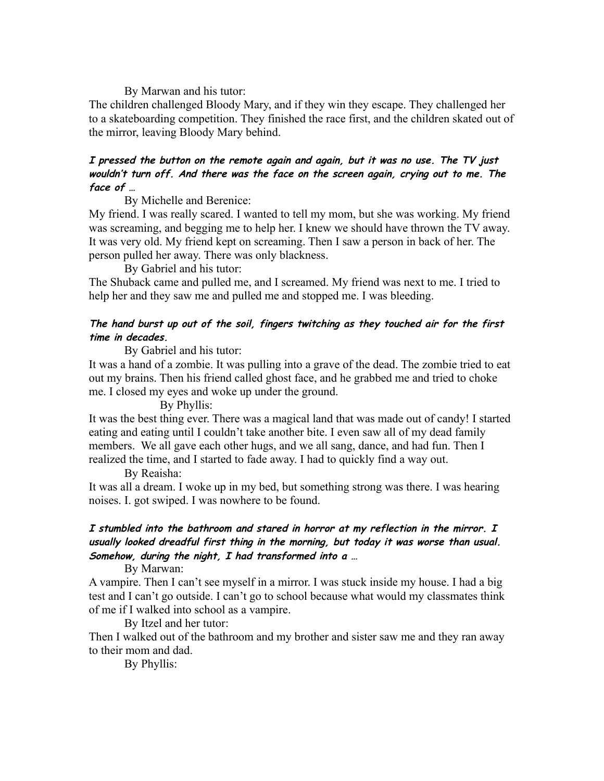By Marwan and his tutor:

The children challenged Bloody Mary, and if they win they escape. They challenged her to a skateboarding competition. They finished the race first, and the children skated out of the mirror, leaving Bloody Mary behind.

# **I pressed the button on the remote again and again, but it was no use. The TV just wouldn't turn off. And there was the face on the screen again, crying out to me. The face of …**

By Michelle and Berenice:

My friend. I was really scared. I wanted to tell my mom, but she was working. My friend was screaming, and begging me to help her. I knew we should have thrown the TV away. It was very old. My friend kept on screaming. Then I saw a person in back of her. The person pulled her away. There was only blackness.

By Gabriel and his tutor:

The Shuback came and pulled me, and I screamed. My friend was next to me. I tried to help her and they saw me and pulled me and stopped me. I was bleeding.

## **The hand burst up out of the soil, fingers twitching as they touched air for the first time in decades.**

By Gabriel and his tutor:

It was a hand of a zombie. It was pulling into a grave of the dead. The zombie tried to eat out my brains. Then his friend called ghost face, and he grabbed me and tried to choke me. I closed my eyes and woke up under the ground.

By Phyllis:

It was the best thing ever. There was a magical land that was made out of candy! I started eating and eating until I couldn't take another bite. I even saw all of my dead family members. We all gave each other hugs, and we all sang, dance, and had fun. Then I realized the time, and I started to fade away. I had to quickly find a way out.

By Reaisha:

It was all a dream. I woke up in my bed, but something strong was there. I was hearing noises. I. got swiped. I was nowhere to be found.

# **I stumbled into the bathroom and stared in horror at my reflection in the mirror. I usually looked dreadful first thing in the morning, but today it was worse than usual. Somehow, during the night, I had transformed into a …**

By Marwan:

A vampire. Then I can't see myself in a mirror. I was stuck inside my house. I had a big test and I can't go outside. I can't go to school because what would my classmates think of me if I walked into school as a vampire.

By Itzel and her tutor:

Then I walked out of the bathroom and my brother and sister saw me and they ran away to their mom and dad.

By Phyllis: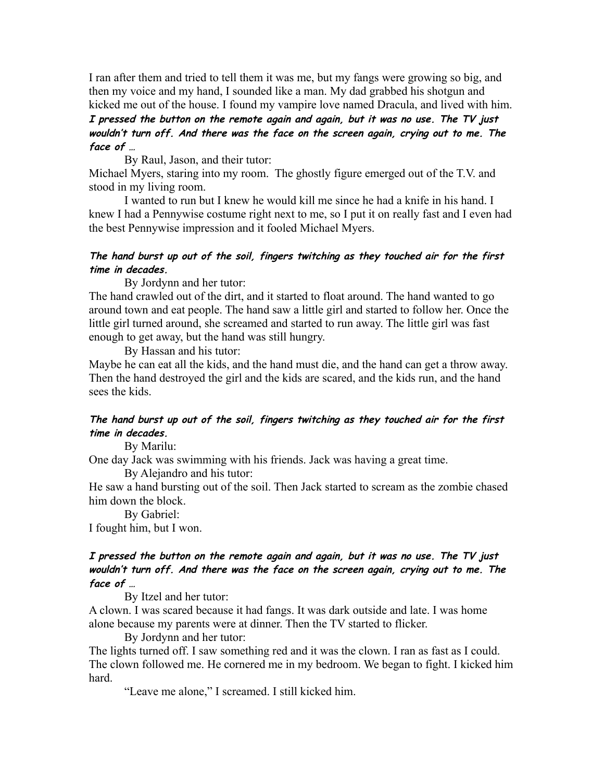I ran after them and tried to tell them it was me, but my fangs were growing so big, and then my voice and my hand, I sounded like a man. My dad grabbed his shotgun and kicked me out of the house. I found my vampire love named Dracula, and lived with him.

### **I pressed the button on the remote again and again, but it was no use. The TV just wouldn't turn off. And there was the face on the screen again, crying out to me. The face of …**

By Raul, Jason, and their tutor:

Michael Myers, staring into my room. The ghostly figure emerged out of the T.V. and stood in my living room.

I wanted to run but I knew he would kill me since he had a knife in his hand. I knew I had a Pennywise costume right next to me, so I put it on really fast and I even had the best Pennywise impression and it fooled Michael Myers.

### **The hand burst up out of the soil, fingers twitching as they touched air for the first time in decades.**

By Jordynn and her tutor:

The hand crawled out of the dirt, and it started to float around. The hand wanted to go around town and eat people. The hand saw a little girl and started to follow her. Once the little girl turned around, she screamed and started to run away. The little girl was fast enough to get away, but the hand was still hungry.

By Hassan and his tutor:

Maybe he can eat all the kids, and the hand must die, and the hand can get a throw away. Then the hand destroyed the girl and the kids are scared, and the kids run, and the hand sees the kids.

# **The hand burst up out of the soil, fingers twitching as they touched air for the first time in decades.**

By Marilu:

One day Jack was swimming with his friends. Jack was having a great time.

By Alejandro and his tutor:

He saw a hand bursting out of the soil. Then Jack started to scream as the zombie chased him down the block.

By Gabriel: I fought him, but I won.

# **I pressed the button on the remote again and again, but it was no use. The TV just wouldn't turn off. And there was the face on the screen again, crying out to me. The face of …**

By Itzel and her tutor:

A clown. I was scared because it had fangs. It was dark outside and late. I was home alone because my parents were at dinner. Then the TV started to flicker.

By Jordynn and her tutor: The lights turned off. I saw something red and it was the clown. I ran as fast as I could. The clown followed me. He cornered me in my bedroom. We began to fight. I kicked him hard.

"Leave me alone," I screamed. I still kicked him.